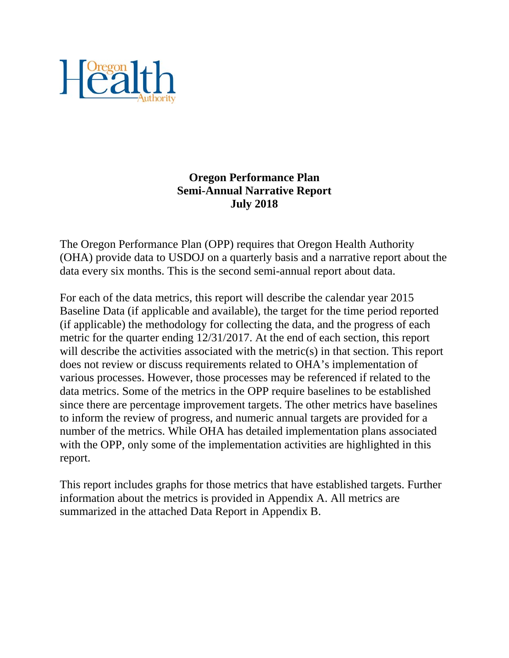

# **Oregon Performance Plan Semi-Annual Narrative Report July 2018**

The Oregon Performance Plan (OPP) requires that Oregon Health Authority (OHA) provide data to USDOJ on a quarterly basis and a narrative report about the data every six months. This is the second semi-annual report about data.

For each of the data metrics, this report will describe the calendar year 2015 Baseline Data (if applicable and available), the target for the time period reported (if applicable) the methodology for collecting the data, and the progress of each metric for the quarter ending 12/31/2017. At the end of each section, this report will describe the activities associated with the metric(s) in that section. This report does not review or discuss requirements related to OHA's implementation of various processes. However, those processes may be referenced if related to the data metrics. Some of the metrics in the OPP require baselines to be established since there are percentage improvement targets. The other metrics have baselines to inform the review of progress, and numeric annual targets are provided for a number of the metrics. While OHA has detailed implementation plans associated with the OPP, only some of the implementation activities are highlighted in this report.

This report includes graphs for those metrics that have established targets. Further information about the metrics is provided in Appendix A. All metrics are summarized in the attached Data Report in Appendix B.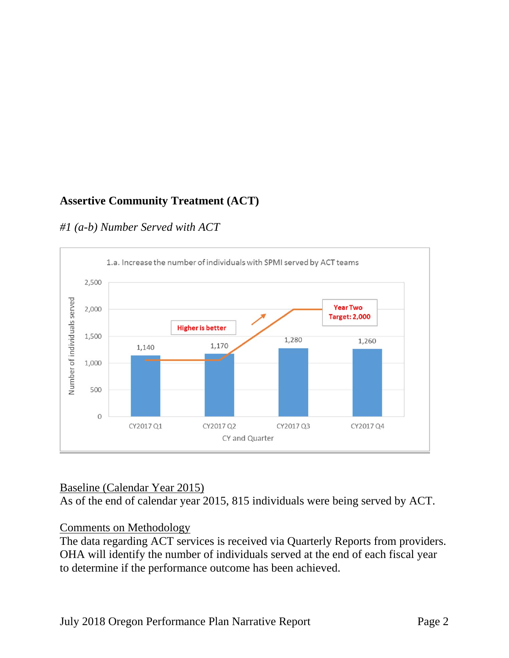# **Assertive Community Treatment (ACT)**

# *#1 (a-b) Number Served with ACT*



# Baseline (Calendar Year 2015)

As of the end of calendar year 2015, 815 individuals were being served by ACT.

# Comments on Methodology

The data regarding ACT services is received via Quarterly Reports from providers. OHA will identify the number of individuals served at the end of each fiscal year to determine if the performance outcome has been achieved.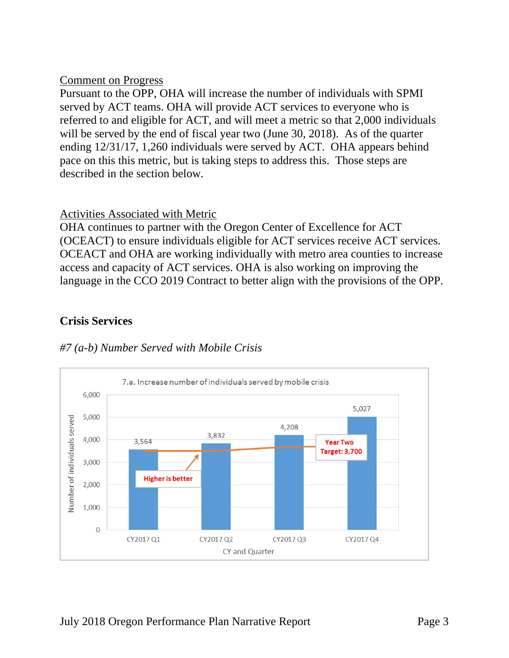#### Comment on Progress

Pursuant to the OPP, OHA will increase the number of individuals with SPMI served by ACT teams. OHA will provide ACT services to everyone who is referred to and eligible for ACT, and will meet a metric so that 2,000 individuals will be served by the end of fiscal year two (June 30, 2018). As of the quarter ending 12/31/17, 1,260 individuals were served by ACT. OHA appears behind pace on this this metric, but is taking steps to address this. Those steps are described in the section below.

### Activities Associated with Metric

OHA continues to partner with the Oregon Center of Excellence for ACT (OCEACT) to ensure individuals eligible for ACT services receive ACT services. OCEACT and OHA are working individually with metro area counties to increase access and capacity of ACT services. OHA is also working on improving the language in the CCO 2019 Contract to better align with the provisions of the OPP.

# **Crisis Services**



CY and Quarter

# *#7 (a-b) Number Served with Mobile Crisis*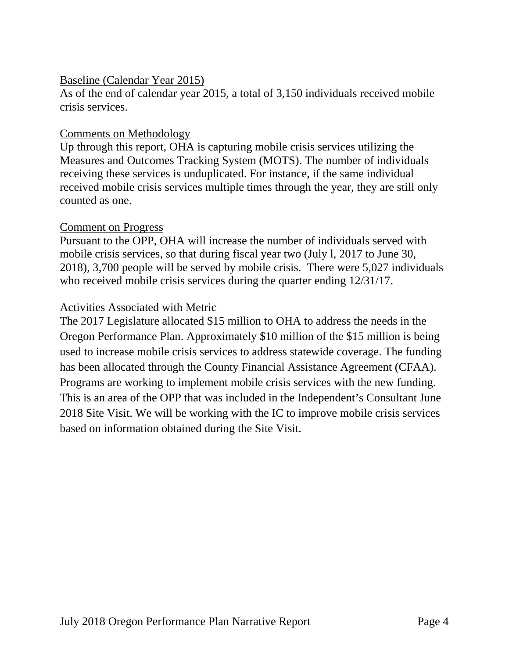#### Baseline (Calendar Year 2015)

As of the end of calendar year 2015, a total of 3,150 individuals received mobile crisis services.

### Comments on Methodology

Up through this report, OHA is capturing mobile crisis services utilizing the Measures and Outcomes Tracking System (MOTS). The number of individuals receiving these services is unduplicated. For instance, if the same individual received mobile crisis services multiple times through the year, they are still only counted as one.

#### Comment on Progress

Pursuant to the OPP, OHA will increase the number of individuals served with mobile crisis services, so that during fiscal year two (July l, 2017 to June 30, 2018), 3,700 people will be served by mobile crisis. There were 5,027 individuals who received mobile crisis services during the quarter ending 12/31/17.

### Activities Associated with Metric

The 2017 Legislature allocated \$15 million to OHA to address the needs in the Oregon Performance Plan. Approximately \$10 million of the \$15 million is being used to increase mobile crisis services to address statewide coverage. The funding has been allocated through the County Financial Assistance Agreement (CFAA). Programs are working to implement mobile crisis services with the new funding. This is an area of the OPP that was included in the Independent's Consultant June 2018 Site Visit. We will be working with the IC to improve mobile crisis services based on information obtained during the Site Visit.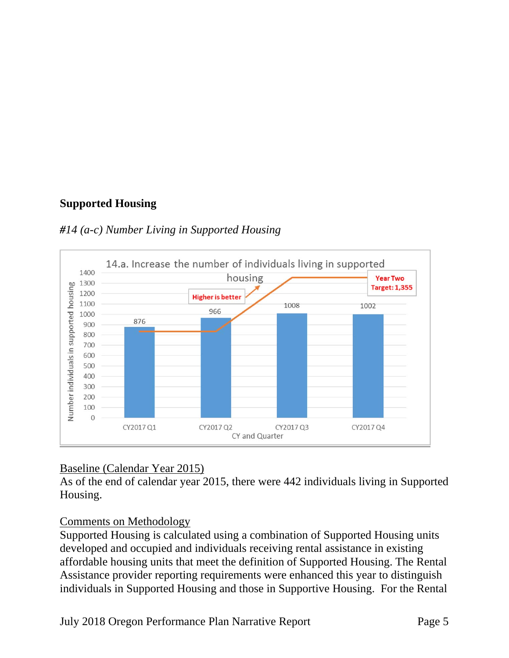# **Supported Housing**





# Baseline (Calendar Year 2015)

As of the end of calendar year 2015, there were 442 individuals living in Supported Housing.

# Comments on Methodology

Supported Housing is calculated using a combination of Supported Housing units developed and occupied and individuals receiving rental assistance in existing affordable housing units that meet the definition of Supported Housing. The Rental Assistance provider reporting requirements were enhanced this year to distinguish individuals in Supported Housing and those in Supportive Housing. For the Rental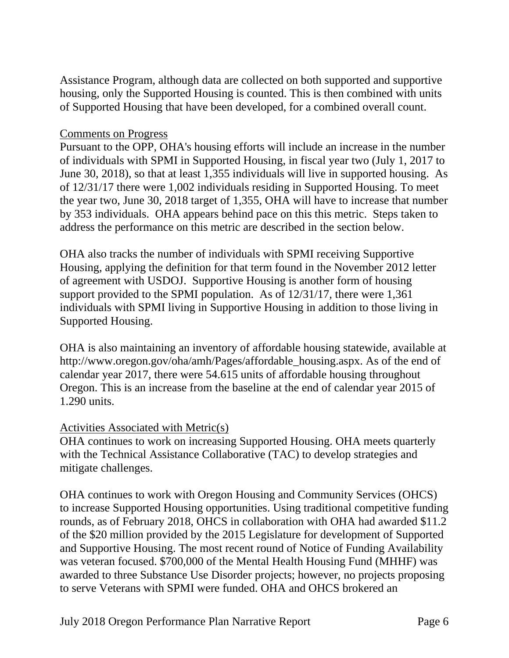Assistance Program, although data are collected on both supported and supportive housing, only the Supported Housing is counted. This is then combined with units of Supported Housing that have been developed, for a combined overall count.

### Comments on Progress

Pursuant to the OPP, OHA's housing efforts will include an increase in the number of individuals with SPMI in Supported Housing, in fiscal year two (July 1, 2017 to June 30, 2018), so that at least 1,355 individuals will live in supported housing. As of 12/31/17 there were 1,002 individuals residing in Supported Housing. To meet the year two, June 30, 2018 target of 1,355, OHA will have to increase that number by 353 individuals. OHA appears behind pace on this this metric. Steps taken to address the performance on this metric are described in the section below.

OHA also tracks the number of individuals with SPMI receiving Supportive Housing, applying the definition for that term found in the November 2012 letter of agreement with USDOJ. Supportive Housing is another form of housing support provided to the SPMI population. As of 12/31/17, there were 1,361 individuals with SPMI living in Supportive Housing in addition to those living in Supported Housing.

OHA is also maintaining an inventory of affordable housing statewide, available at http://www.oregon.gov/oha/amh/Pages/affordable\_housing.aspx. As of the end of calendar year 2017, there were 54.615 units of affordable housing throughout Oregon. This is an increase from the baseline at the end of calendar year 2015 of 1.290 units.

#### Activities Associated with Metric(s)

OHA continues to work on increasing Supported Housing. OHA meets quarterly with the Technical Assistance Collaborative (TAC) to develop strategies and mitigate challenges.

OHA continues to work with Oregon Housing and Community Services (OHCS) to increase Supported Housing opportunities. Using traditional competitive funding rounds, as of February 2018, OHCS in collaboration with OHA had awarded \$11.2 of the \$20 million provided by the 2015 Legislature for development of Supported and Supportive Housing. The most recent round of Notice of Funding Availability was veteran focused. \$700,000 of the Mental Health Housing Fund (MHHF) was awarded to three Substance Use Disorder projects; however, no projects proposing to serve Veterans with SPMI were funded. OHA and OHCS brokered an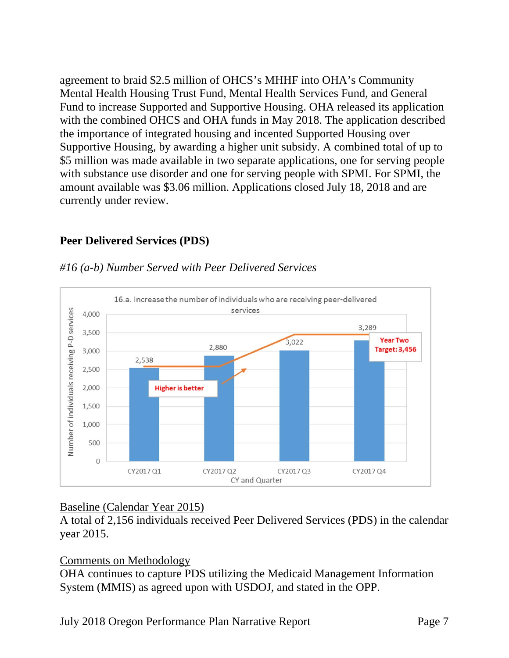agreement to braid \$2.5 million of OHCS's MHHF into OHA's Community Mental Health Housing Trust Fund, Mental Health Services Fund, and General Fund to increase Supported and Supportive Housing. OHA released its application with the combined OHCS and OHA funds in May 2018. The application described the importance of integrated housing and incented Supported Housing over Supportive Housing, by awarding a higher unit subsidy. A combined total of up to \$5 million was made available in two separate applications, one for serving people with substance use disorder and one for serving people with SPMI. For SPMI, the amount available was \$3.06 million. Applications closed July 18, 2018 and are currently under review.

### **Peer Delivered Services (PDS)**



#### *#16 (a-b) Number Served with Peer Delivered Services*

# Baseline (Calendar Year 2015)

A total of 2,156 individuals received Peer Delivered Services (PDS) in the calendar year 2015.

# Comments on Methodology

OHA continues to capture PDS utilizing the Medicaid Management Information System (MMIS) as agreed upon with USDOJ, and stated in the OPP.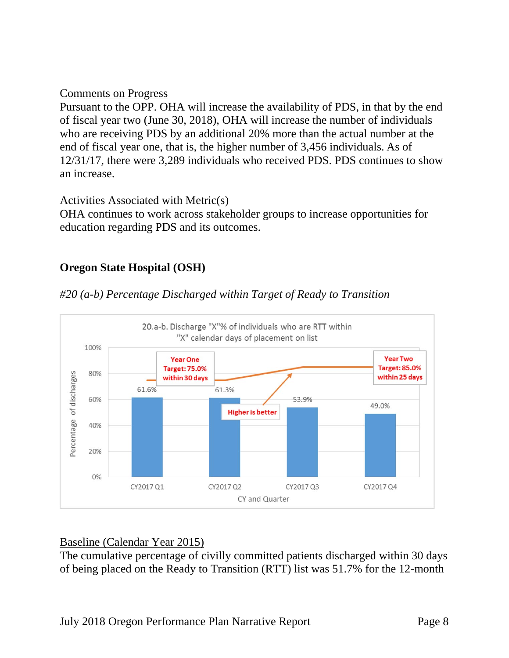#### Comments on Progress

Pursuant to the OPP. OHA will increase the availability of PDS, in that by the end of fiscal year two (June 30, 2018), OHA will increase the number of individuals who are receiving PDS by an additional 20% more than the actual number at the end of fiscal year one, that is, the higher number of 3,456 individuals. As of 12/31/17, there were 3,289 individuals who received PDS. PDS continues to show an increase.

#### Activities Associated with Metric(s)

OHA continues to work across stakeholder groups to increase opportunities for education regarding PDS and its outcomes.

# **Oregon State Hospital (OSH)**





#### Baseline (Calendar Year 2015)

The cumulative percentage of civilly committed patients discharged within 30 days of being placed on the Ready to Transition (RTT) list was 51.7% for the 12-month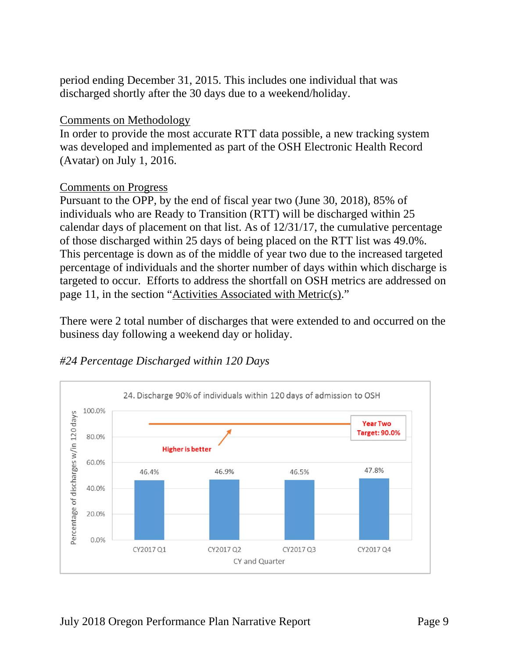period ending December 31, 2015. This includes one individual that was discharged shortly after the 30 days due to a weekend/holiday.

#### Comments on Methodology

In order to provide the most accurate RTT data possible, a new tracking system was developed and implemented as part of the OSH Electronic Health Record (Avatar) on July 1, 2016.

#### Comments on Progress

Pursuant to the OPP, by the end of fiscal year two (June 30, 2018), 85% of individuals who are Ready to Transition (RTT) will be discharged within 25 calendar days of placement on that list. As of 12/31/17, the cumulative percentage of those discharged within 25 days of being placed on the RTT list was 49.0%. This percentage is down as of the middle of year two due to the increased targeted percentage of individuals and the shorter number of days within which discharge is targeted to occur. Efforts to address the shortfall on OSH metrics are addressed on page 11, in the section "Activities Associated with Metric(s)."

There were 2 total number of discharges that were extended to and occurred on the business day following a weekend day or holiday.



#### *#24 Percentage Discharged within 120 Days*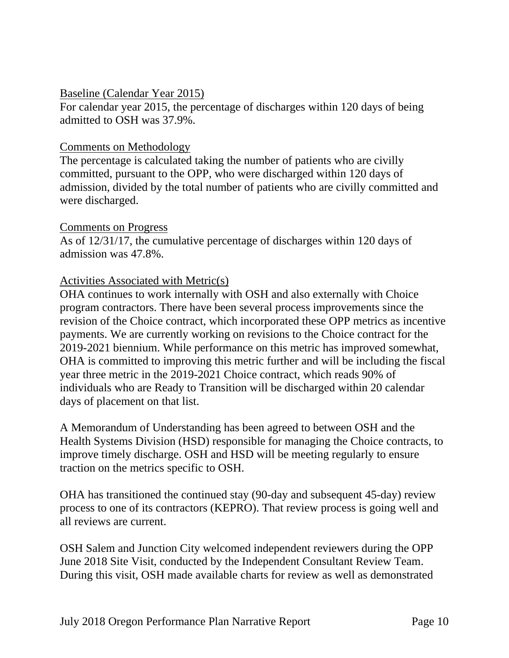#### Baseline (Calendar Year 2015)

For calendar year 2015, the percentage of discharges within 120 days of being admitted to OSH was 37.9%.

#### Comments on Methodology

The percentage is calculated taking the number of patients who are civilly committed, pursuant to the OPP, who were discharged within 120 days of admission, divided by the total number of patients who are civilly committed and were discharged.

#### Comments on Progress

As of 12/31/17, the cumulative percentage of discharges within 120 days of admission was 47.8%.

#### Activities Associated with Metric(s)

OHA continues to work internally with OSH and also externally with Choice program contractors. There have been several process improvements since the revision of the Choice contract, which incorporated these OPP metrics as incentive payments. We are currently working on revisions to the Choice contract for the 2019-2021 biennium. While performance on this metric has improved somewhat, OHA is committed to improving this metric further and will be including the fiscal year three metric in the 2019-2021 Choice contract, which reads 90% of individuals who are Ready to Transition will be discharged within 20 calendar days of placement on that list.

A Memorandum of Understanding has been agreed to between OSH and the Health Systems Division (HSD) responsible for managing the Choice contracts, to improve timely discharge. OSH and HSD will be meeting regularly to ensure traction on the metrics specific to OSH.

OHA has transitioned the continued stay (90-day and subsequent 45-day) review process to one of its contractors (KEPRO). That review process is going well and all reviews are current.

OSH Salem and Junction City welcomed independent reviewers during the OPP June 2018 Site Visit, conducted by the Independent Consultant Review Team. During this visit, OSH made available charts for review as well as demonstrated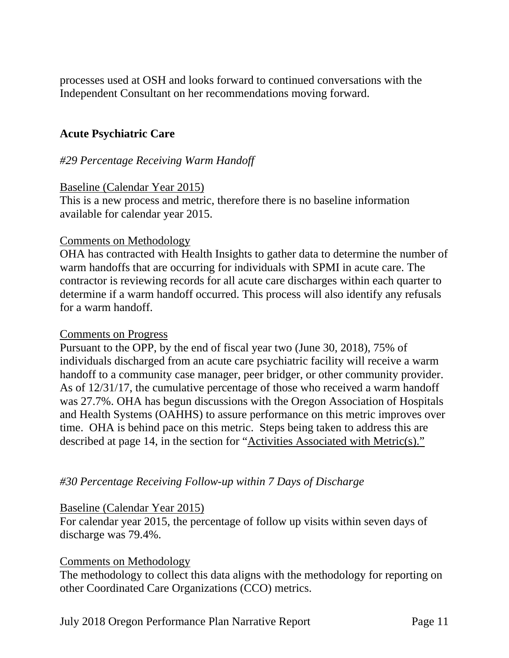processes used at OSH and looks forward to continued conversations with the Independent Consultant on her recommendations moving forward.

# **Acute Psychiatric Care**

#### *#29 Percentage Receiving Warm Handoff*

#### Baseline (Calendar Year 2015)

This is a new process and metric, therefore there is no baseline information available for calendar year 2015.

#### Comments on Methodology

OHA has contracted with Health Insights to gather data to determine the number of warm handoffs that are occurring for individuals with SPMI in acute care. The contractor is reviewing records for all acute care discharges within each quarter to determine if a warm handoff occurred. This process will also identify any refusals for a warm handoff.

#### Comments on Progress

Pursuant to the OPP, by the end of fiscal year two (June 30, 2018), 75% of individuals discharged from an acute care psychiatric facility will receive a warm handoff to a community case manager, peer bridger, or other community provider. As of 12/31/17, the cumulative percentage of those who received a warm handoff was 27.7%. OHA has begun discussions with the Oregon Association of Hospitals and Health Systems (OAHHS) to assure performance on this metric improves over time. OHA is behind pace on this metric. Steps being taken to address this are described at page 14, in the section for "Activities Associated with Metric(s)."

#### *#30 Percentage Receiving Follow-up within 7 Days of Discharge*

#### Baseline (Calendar Year 2015)

For calendar year 2015, the percentage of follow up visits within seven days of discharge was 79.4%.

#### Comments on Methodology

The methodology to collect this data aligns with the methodology for reporting on other Coordinated Care Organizations (CCO) metrics.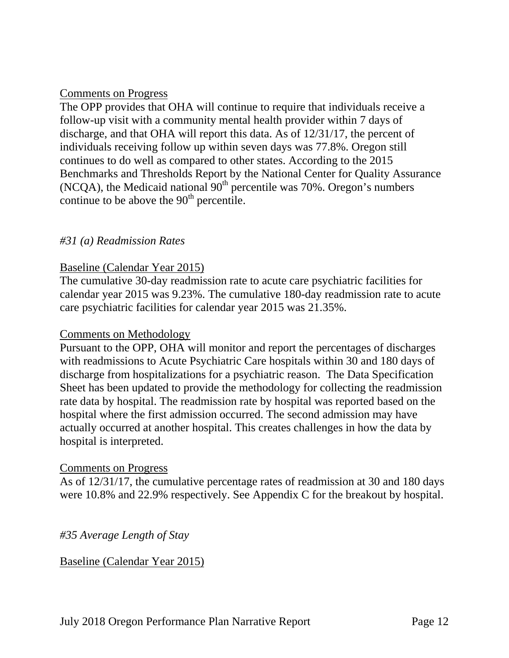#### Comments on Progress

The OPP provides that OHA will continue to require that individuals receive a follow-up visit with a community mental health provider within 7 days of discharge, and that OHA will report this data. As of 12/31/17, the percent of individuals receiving follow up within seven days was 77.8%. Oregon still continues to do well as compared to other states. According to the 2015 Benchmarks and Thresholds Report by the National Center for Quality Assurance (NCQA), the Medicaid national  $90<sup>th</sup>$  percentile was 70%. Oregon's numbers continue to be above the  $90<sup>th</sup>$  percentile.

### *#31 (a) Readmission Rates*

#### Baseline (Calendar Year 2015)

The cumulative 30-day readmission rate to acute care psychiatric facilities for calendar year 2015 was 9.23%. The cumulative 180-day readmission rate to acute care psychiatric facilities for calendar year 2015 was 21.35%.

#### Comments on Methodology

Pursuant to the OPP, OHA will monitor and report the percentages of discharges with readmissions to Acute Psychiatric Care hospitals within 30 and 180 days of discharge from hospitalizations for a psychiatric reason. The Data Specification Sheet has been updated to provide the methodology for collecting the readmission rate data by hospital. The readmission rate by hospital was reported based on the hospital where the first admission occurred. The second admission may have actually occurred at another hospital. This creates challenges in how the data by hospital is interpreted.

#### Comments on Progress

As of 12/31/17, the cumulative percentage rates of readmission at 30 and 180 days were 10.8% and 22.9% respectively. See Appendix C for the breakout by hospital.

#### *#35 Average Length of Stay*

#### Baseline (Calendar Year 2015)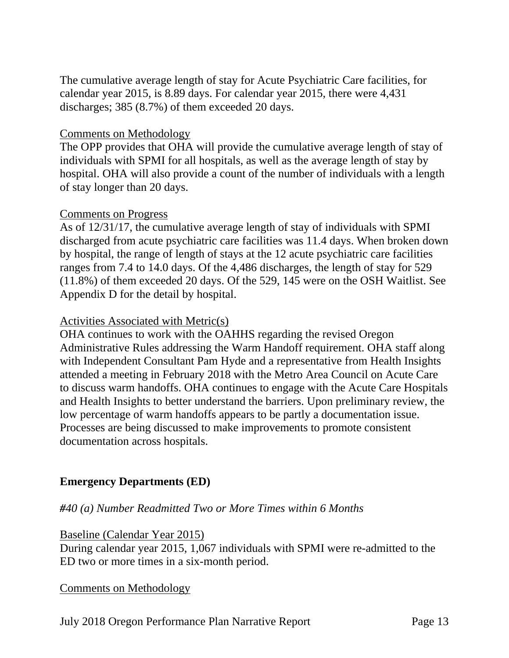The cumulative average length of stay for Acute Psychiatric Care facilities, for calendar year 2015, is 8.89 days. For calendar year 2015, there were 4,431 discharges; 385 (8.7%) of them exceeded 20 days.

#### Comments on Methodology

The OPP provides that OHA will provide the cumulative average length of stay of individuals with SPMI for all hospitals, as well as the average length of stay by hospital. OHA will also provide a count of the number of individuals with a length of stay longer than 20 days.

#### Comments on Progress

As of 12/31/17, the cumulative average length of stay of individuals with SPMI discharged from acute psychiatric care facilities was 11.4 days. When broken down by hospital, the range of length of stays at the 12 acute psychiatric care facilities ranges from 7.4 to 14.0 days. Of the 4,486 discharges, the length of stay for 529 (11.8%) of them exceeded 20 days. Of the 529, 145 were on the OSH Waitlist. See Appendix D for the detail by hospital.

#### Activities Associated with Metric(s)

OHA continues to work with the OAHHS regarding the revised Oregon Administrative Rules addressing the Warm Handoff requirement. OHA staff along with Independent Consultant Pam Hyde and a representative from Health Insights attended a meeting in February 2018 with the Metro Area Council on Acute Care to discuss warm handoffs. OHA continues to engage with the Acute Care Hospitals and Health Insights to better understand the barriers. Upon preliminary review, the low percentage of warm handoffs appears to be partly a documentation issue. Processes are being discussed to make improvements to promote consistent documentation across hospitals.

# **Emergency Departments (ED)**

# *#40 (a) Number Readmitted Two or More Times within 6 Months*

#### Baseline (Calendar Year 2015)

During calendar year 2015, 1,067 individuals with SPMI were re-admitted to the ED two or more times in a six-month period.

#### Comments on Methodology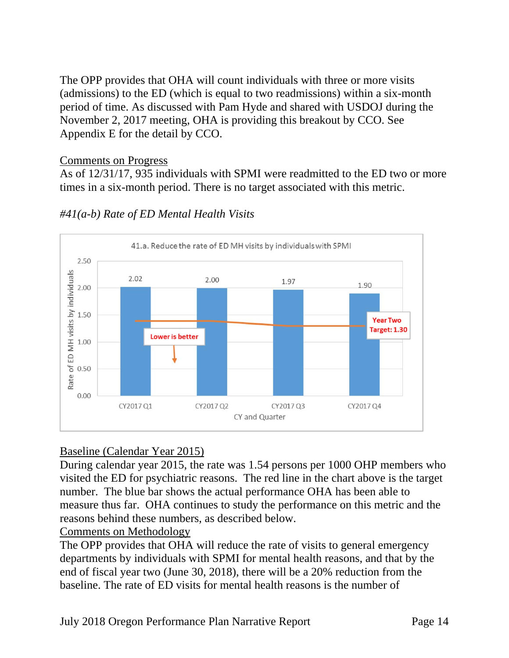The OPP provides that OHA will count individuals with three or more visits (admissions) to the ED (which is equal to two readmissions) within a six-month period of time. As discussed with Pam Hyde and shared with USDOJ during the November 2, 2017 meeting, OHA is providing this breakout by CCO. See Appendix E for the detail by CCO.

### Comments on Progress

As of 12/31/17, 935 individuals with SPMI were readmitted to the ED two or more times in a six-month period. There is no target associated with this metric.



# *#41(a-b) Rate of ED Mental Health Visits*

# Baseline (Calendar Year 2015)

During calendar year 2015, the rate was 1.54 persons per 1000 OHP members who visited the ED for psychiatric reasons. The red line in the chart above is the target number. The blue bar shows the actual performance OHA has been able to measure thus far. OHA continues to study the performance on this metric and the reasons behind these numbers, as described below.

Comments on Methodology

The OPP provides that OHA will reduce the rate of visits to general emergency departments by individuals with SPMI for mental health reasons, and that by the end of fiscal year two (June 30, 2018), there will be a 20% reduction from the baseline. The rate of ED visits for mental health reasons is the number of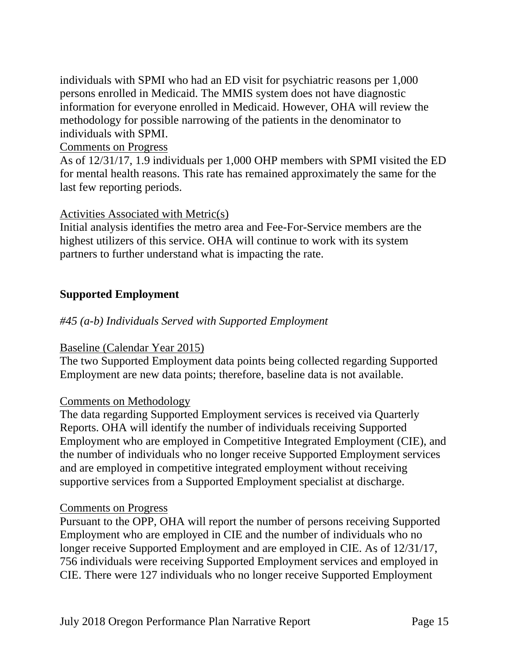individuals with SPMI who had an ED visit for psychiatric reasons per 1,000 persons enrolled in Medicaid. The MMIS system does not have diagnostic information for everyone enrolled in Medicaid. However, OHA will review the methodology for possible narrowing of the patients in the denominator to individuals with SPMI.

Comments on Progress

As of 12/31/17, 1.9 individuals per 1,000 OHP members with SPMI visited the ED for mental health reasons. This rate has remained approximately the same for the last few reporting periods.

# Activities Associated with Metric(s)

Initial analysis identifies the metro area and Fee-For-Service members are the highest utilizers of this service. OHA will continue to work with its system partners to further understand what is impacting the rate.

# **Supported Employment**

# *#45 (a-b) Individuals Served with Supported Employment*

# Baseline (Calendar Year 2015)

The two Supported Employment data points being collected regarding Supported Employment are new data points; therefore, baseline data is not available.

#### Comments on Methodology

The data regarding Supported Employment services is received via Quarterly Reports. OHA will identify the number of individuals receiving Supported Employment who are employed in Competitive Integrated Employment (CIE), and the number of individuals who no longer receive Supported Employment services and are employed in competitive integrated employment without receiving supportive services from a Supported Employment specialist at discharge.

#### Comments on Progress

Pursuant to the OPP, OHA will report the number of persons receiving Supported Employment who are employed in CIE and the number of individuals who no longer receive Supported Employment and are employed in CIE. As of 12/31/17, 756 individuals were receiving Supported Employment services and employed in CIE. There were 127 individuals who no longer receive Supported Employment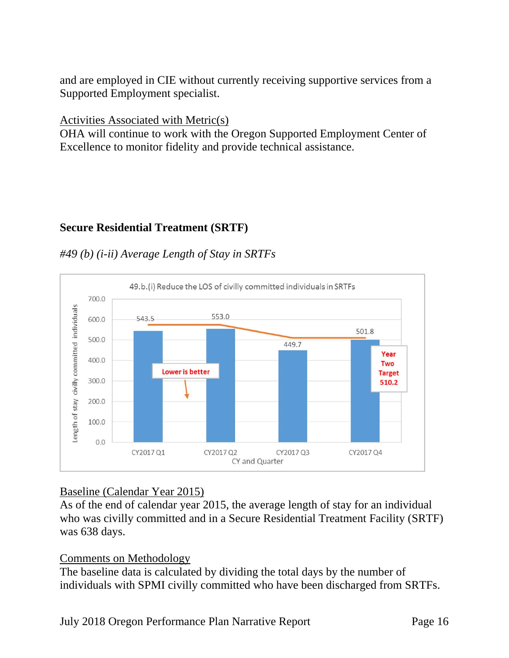and are employed in CIE without currently receiving supportive services from a Supported Employment specialist.

### Activities Associated with Metric(s)

OHA will continue to work with the Oregon Supported Employment Center of Excellence to monitor fidelity and provide technical assistance.

# **Secure Residential Treatment (SRTF)**

### *#49 (b) (i-ii) Average Length of Stay in SRTFs*



# Baseline (Calendar Year 2015)

As of the end of calendar year 2015, the average length of stay for an individual who was civilly committed and in a Secure Residential Treatment Facility (SRTF) was 638 days.

#### Comments on Methodology

The baseline data is calculated by dividing the total days by the number of individuals with SPMI civilly committed who have been discharged from SRTFs.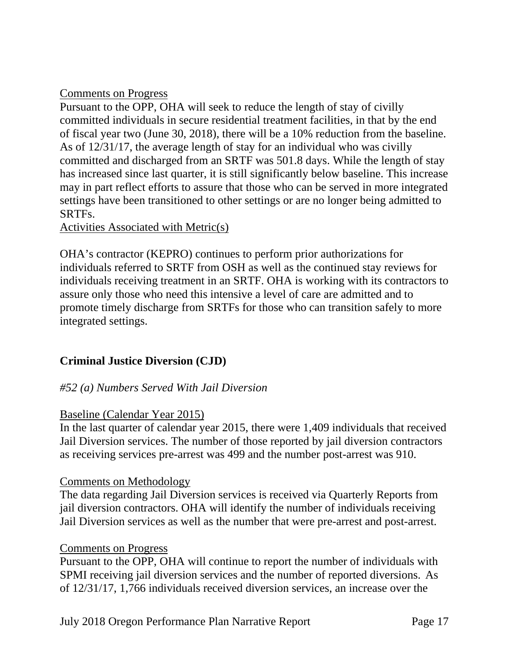### Comments on Progress

Pursuant to the OPP, OHA will seek to reduce the length of stay of civilly committed individuals in secure residential treatment facilities, in that by the end of fiscal year two (June 30, 2018), there will be a 10% reduction from the baseline. As of 12/31/17, the average length of stay for an individual who was civilly committed and discharged from an SRTF was 501.8 days. While the length of stay has increased since last quarter, it is still significantly below baseline. This increase may in part reflect efforts to assure that those who can be served in more integrated settings have been transitioned to other settings or are no longer being admitted to SRTFs.

#### Activities Associated with Metric(s)

OHA's contractor (KEPRO) continues to perform prior authorizations for individuals referred to SRTF from OSH as well as the continued stay reviews for individuals receiving treatment in an SRTF. OHA is working with its contractors to assure only those who need this intensive a level of care are admitted and to promote timely discharge from SRTFs for those who can transition safely to more integrated settings.

#### **Criminal Justice Diversion (CJD)**

#### *#52 (a) Numbers Served With Jail Diversion*

#### Baseline (Calendar Year 2015)

In the last quarter of calendar year 2015, there were 1,409 individuals that received Jail Diversion services. The number of those reported by jail diversion contractors as receiving services pre-arrest was 499 and the number post-arrest was 910.

#### Comments on Methodology

The data regarding Jail Diversion services is received via Quarterly Reports from jail diversion contractors. OHA will identify the number of individuals receiving Jail Diversion services as well as the number that were pre-arrest and post-arrest.

#### Comments on Progress

Pursuant to the OPP, OHA will continue to report the number of individuals with SPMI receiving jail diversion services and the number of reported diversions. As of 12/31/17, 1,766 individuals received diversion services, an increase over the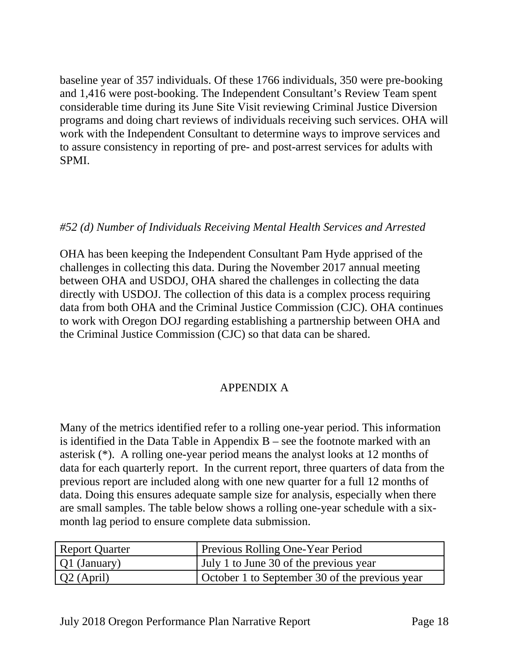baseline year of 357 individuals. Of these 1766 individuals, 350 were pre-booking and 1,416 were post-booking. The Independent Consultant's Review Team spent considerable time during its June Site Visit reviewing Criminal Justice Diversion programs and doing chart reviews of individuals receiving such services. OHA will work with the Independent Consultant to determine ways to improve services and to assure consistency in reporting of pre- and post-arrest services for adults with SPMI.

### *#52 (d) Number of Individuals Receiving Mental Health Services and Arrested*

OHA has been keeping the Independent Consultant Pam Hyde apprised of the challenges in collecting this data. During the November 2017 annual meeting between OHA and USDOJ, OHA shared the challenges in collecting the data directly with USDOJ. The collection of this data is a complex process requiring data from both OHA and the Criminal Justice Commission (CJC). OHA continues to work with Oregon DOJ regarding establishing a partnership between OHA and the Criminal Justice Commission (CJC) so that data can be shared.

# APPENDIX A

Many of the metrics identified refer to a rolling one-year period. This information is identified in the Data Table in Appendix  $B$  – see the footnote marked with an asterisk (\*). A rolling one-year period means the analyst looks at 12 months of data for each quarterly report. In the current report, three quarters of data from the previous report are included along with one new quarter for a full 12 months of data. Doing this ensures adequate sample size for analysis, especially when there are small samples. The table below shows a rolling one-year schedule with a sixmonth lag period to ensure complete data submission.

| <b>Report Quarter</b> | <b>Previous Rolling One-Year Period</b>        |
|-----------------------|------------------------------------------------|
| Q1 (January)          | July 1 to June 30 of the previous year         |
| $Q2$ (April)          | October 1 to September 30 of the previous year |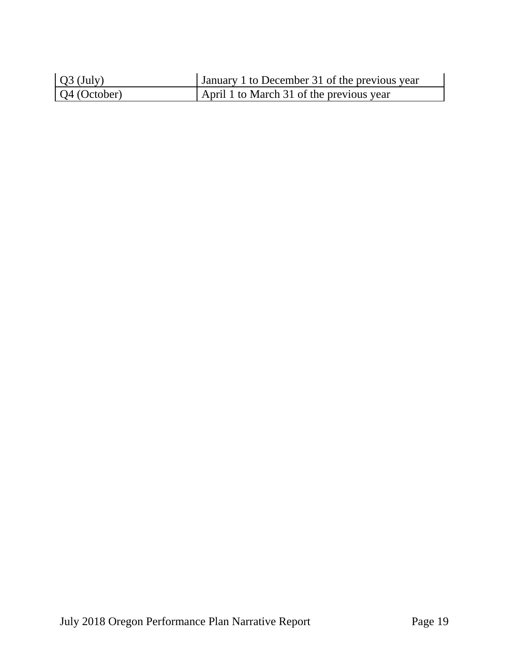| $Q3$ (July)  | January 1 to December 31 of the previous year |
|--------------|-----------------------------------------------|
| Q4 (October) | April 1 to March 31 of the previous year      |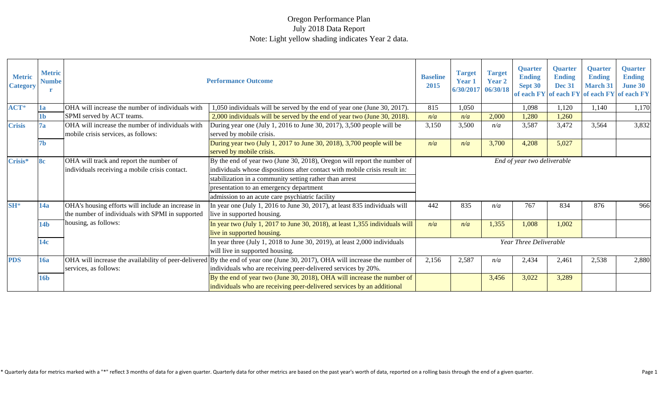| <b>Metric</b><br><b>Category</b> | <b>Metric</b><br><b>Numbe</b> |                                                                                                       | <b>Performance Outcome</b>                                                                                                                                                                    | <b>Baseline</b><br>2015 | <b>Target</b><br><b>Year 1</b><br>6/30/2017 | <b>Target</b><br><b>Year 2</b><br>06/30/18 | <b>Quarter</b><br><b>Ending</b><br>Sept 30 | <b>Quarter</b><br><b>Ending</b><br><b>Dec 31</b> | <b>Quarter</b><br><b>Ending</b><br><b>March 31</b><br>of each FY of each FY of each FY of each FY | <b>Quarter</b><br><b>Ending</b><br><b>June 30</b> |
|----------------------------------|-------------------------------|-------------------------------------------------------------------------------------------------------|-----------------------------------------------------------------------------------------------------------------------------------------------------------------------------------------------|-------------------------|---------------------------------------------|--------------------------------------------|--------------------------------------------|--------------------------------------------------|---------------------------------------------------------------------------------------------------|---------------------------------------------------|
| ACT*                             | 1a                            | OHA will increase the number of individuals with                                                      | 1,050 individuals will be served by the end of year one (June 30, 2017).                                                                                                                      | 815                     | 1,050                                       |                                            | 1,098                                      | 1,120                                            | 1,140                                                                                             | 1,170                                             |
|                                  | 1b                            | SPMI served by ACT teams.                                                                             | 2,000 individuals will be served by the end of year two (June 30, 2018).                                                                                                                      | n/a                     | n/a                                         | 2,000                                      | 1,280                                      | 1,260                                            |                                                                                                   |                                                   |
| <b>Crisis</b>                    | 7a                            | OHA will increase the number of individuals with<br>mobile crisis services, as follows:               | During year one (July 1, 2016 to June 30, 2017), 3,500 people will be<br>served by mobile crisis.                                                                                             | 3,150                   | 3,500                                       | n/a                                        | 3,587                                      | 3,472                                            | 3,564                                                                                             | 3,832                                             |
| 7b                               |                               |                                                                                                       | During year two (July 1, 2017 to June 30, 2018), 3,700 people will be<br>served by mobile crisis.                                                                                             | n/a                     | n/a                                         | 3,700                                      | 4,208                                      | 5,027                                            |                                                                                                   |                                                   |
| Crisis*<br><b>8c</b>             |                               | OHA will track and report the number of<br>individuals receiving a mobile crisis contact.             | By the end of year two (June 30, 2018), Oregon will report the number of<br>individuals whose dispositions after contact with mobile crisis result in:                                        |                         |                                             |                                            | End of year two deliverable                |                                                  |                                                                                                   |                                                   |
|                                  |                               |                                                                                                       | stabilization in a community setting rather than arrest                                                                                                                                       |                         |                                             |                                            |                                            |                                                  |                                                                                                   |                                                   |
|                                  |                               |                                                                                                       | presentation to an emergency department                                                                                                                                                       |                         |                                             |                                            |                                            |                                                  |                                                                                                   |                                                   |
|                                  |                               |                                                                                                       | admission to an acute care psychiatric facility                                                                                                                                               |                         |                                             |                                            |                                            |                                                  |                                                                                                   |                                                   |
| $SH^*$                           | 14a                           | OHA's housing efforts will include an increase in<br>the number of individuals with SPMI in supported | In year one (July 1, 2016 to June 30, 2017), at least 835 individuals will<br>live in supported housing.                                                                                      | 442                     | 835                                         | n/a                                        | 767                                        | 834                                              | 876                                                                                               | 966                                               |
|                                  | 14 <sub>b</sub>               | housing, as follows:                                                                                  | In year two (July 1, 2017 to June 30, 2018), at least 1,355 individuals will<br>live in supported housing.                                                                                    | n/a                     | n/a                                         | 1,355                                      | 1,008                                      | 1,002                                            |                                                                                                   |                                                   |
|                                  | 14c                           |                                                                                                       | In year three (July 1, 2018 to June 30, 2019), at least $2,000$ individuals<br>will live in supported housing.                                                                                |                         |                                             |                                            | Year Three Deliverable                     |                                                  |                                                                                                   |                                                   |
| <b>PDS</b>                       | <b>16a</b>                    | services, as follows:                                                                                 | OHA will increase the availability of peer-delivered By the end of year one (June 30, 2017), OHA will increase the number of<br>individuals who are receiving peer-delivered services by 20%. | 2,156                   | 2,587                                       | n/a                                        | 2,434                                      | 2,461                                            | 2,538                                                                                             | 2,880                                             |
|                                  | <b>16b</b>                    |                                                                                                       | By the end of year two (June 30, 2018), OHA will increase the number of<br>individuals who are receiving peer-delivered services by an additional                                             |                         |                                             | 3,456                                      | 3,022                                      | 3,289                                            |                                                                                                   |                                                   |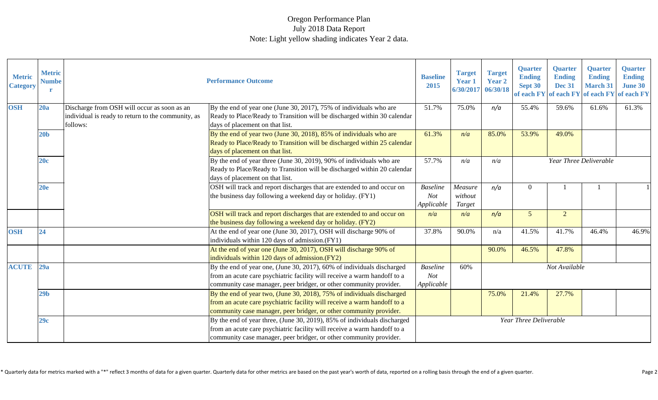| <b>Metric</b><br><b>Category</b> | <b>Metric</b><br><b>Numbe</b> |                                                                                                               | <b>Performance Outcome</b>                                                                                                                                                                                                 | <b>Baseline</b><br>2015                     | <b>Target</b><br><b>Year 1</b><br>6/30/2017 | <b>Target</b><br><b>Year 2</b><br>06/30/18 | <b>Quarter</b><br><b>Ending</b><br>Sept 30 | <b>Quarter</b><br><b>Ending</b><br><b>Dec 31</b> | <b>Quarter</b><br><b>Ending</b><br><b>March 31</b><br>of each FY of each FY of each FY of each FY | <b>Quarter</b><br><b>Ending</b><br><b>June 30</b> |
|----------------------------------|-------------------------------|---------------------------------------------------------------------------------------------------------------|----------------------------------------------------------------------------------------------------------------------------------------------------------------------------------------------------------------------------|---------------------------------------------|---------------------------------------------|--------------------------------------------|--------------------------------------------|--------------------------------------------------|---------------------------------------------------------------------------------------------------|---------------------------------------------------|
| <b>OSH</b>                       | 20a                           | Discharge from OSH will occur as soon as an<br>individual is ready to return to the community, as<br>follows: | By the end of year one (June 30, 2017), $75\%$ of individuals who are<br>Ready to Place/Ready to Transition will be discharged within 30 calendar<br>days of placement on that list.                                       | 51.7%                                       | 75.0%                                       | n/a                                        | 55.4%                                      | 59.6%                                            | 61.6%                                                                                             | 61.3%                                             |
|                                  | 20 <sub>b</sub>               |                                                                                                               | By the end of year two (June 30, 2018), 85% of individuals who are<br>Ready to Place/Ready to Transition will be discharged within 25 calendar<br>days of placement on that list.                                          | 61.3%                                       | n/a                                         | 85.0%                                      | 53.9%                                      | 49.0%                                            |                                                                                                   |                                                   |
|                                  | 20c                           |                                                                                                               | By the end of year three (June 30, 2019), 90% of individuals who are<br>Ready to Place/Ready to Transition will be discharged within 20 calendar<br>days of placement on that list.                                        | 57.7%                                       | n/a                                         | n/a                                        |                                            |                                                  | Year Three Deliverable                                                                            |                                                   |
|                                  | 20e                           |                                                                                                               | OSH will track and report discharges that are extended to and occur on<br>the business day following a weekend day or holiday. (FY1)                                                                                       | <b>Baseline</b><br><b>Not</b><br>Applicable | Measure<br>without<br>Target                | n/a                                        | $\Omega$                                   |                                                  |                                                                                                   |                                                   |
|                                  |                               |                                                                                                               | OSH will track and report discharges that are extended to and occur on<br>the business day following a weekend day or holiday. (FY2)                                                                                       | n/a                                         | n/a                                         | n/a                                        | 5 <sup>5</sup>                             | $\overline{2}$                                   |                                                                                                   |                                                   |
| <b>OSH</b>                       | 24                            |                                                                                                               | At the end of year one (June 30, 2017), OSH will discharge 90% of<br>individuals within 120 days of admission.(FY1)                                                                                                        | 37.8%                                       | 90.0%                                       | n/a                                        | 41.5%                                      | 41.7%                                            | 46.4%                                                                                             | 46.9%                                             |
|                                  |                               |                                                                                                               | At the end of year one (June 30, 2017), OSH will discharge 90% of<br>individuals within 120 days of admission.(FY2)                                                                                                        |                                             |                                             | 90.0%                                      | 46.5%                                      | 47.8%                                            |                                                                                                   |                                                   |
| <b>ACUTE</b>                     | 29a                           |                                                                                                               | By the end of year one, (June 30, 2017), 60% of individuals discharged<br>from an acute care psychiatric facility will receive a warm handoff to a<br>community case manager, peer bridger, or other community provider.   | <b>Baseline</b><br>Not<br>Applicable        | 60%                                         |                                            |                                            | Not Available                                    |                                                                                                   |                                                   |
|                                  | 29 <sub>b</sub>               |                                                                                                               | By the end of year two, (June 30, 2018), 75% of individuals discharged<br>from an acute care psychiatric facility will receive a warm handoff to a<br>community case manager, peer bridger, or other community provider.   |                                             |                                             | 75.0%                                      | 21.4%                                      | 27.7%                                            |                                                                                                   |                                                   |
|                                  | 29c                           |                                                                                                               | By the end of year three, (June 30, 2019), 85% of individuals discharged<br>from an acute care psychiatric facility will receive a warm handoff to a<br>community case manager, peer bridger, or other community provider. |                                             |                                             |                                            | Year Three Deliverable                     |                                                  |                                                                                                   |                                                   |

\* Quarterly data for metrics marked with a "\*" reflect 3 months of data for a given quarter. Quarterly data for other metrics are based on the past year's worth of data, reported on a rolling basis through the end of a giv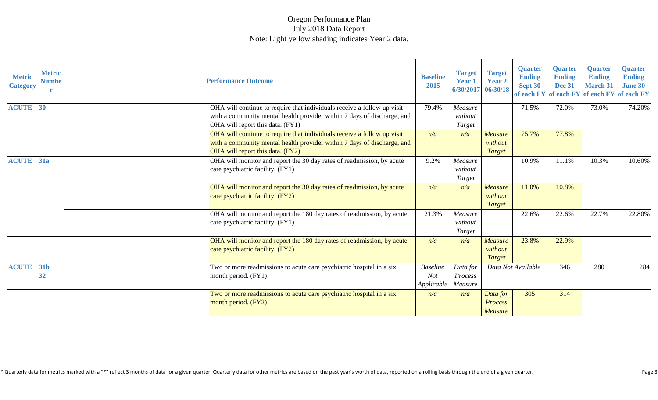| <b>Metric</b><br><b>Category</b> | <b>Metric</b><br><b>Numbe</b> | <b>Performance Outcome</b>                                                                                                                                                             | <b>Baseline</b><br>2015                     | <b>Target</b><br><b>Year 1</b><br>6/30/2017 | <b>Target</b><br><b>Year 2</b><br>06/30/18 | <b>Quarter</b><br><b>Ending</b><br>Sept 30 | <b>Quarter</b><br><b>Ending</b><br><b>Dec 31</b> | <b>Quarter</b><br><b>Ending</b><br><b>March 31</b><br>of each FY of each FY of each FY of each FY | <b>Quarter</b><br><b>Ending</b><br><b>June 30</b> |
|----------------------------------|-------------------------------|----------------------------------------------------------------------------------------------------------------------------------------------------------------------------------------|---------------------------------------------|---------------------------------------------|--------------------------------------------|--------------------------------------------|--------------------------------------------------|---------------------------------------------------------------------------------------------------|---------------------------------------------------|
| <b>ACUTE</b>                     | 30                            | OHA will continue to require that individuals receive a follow up visit<br>with a community mental health provider within 7 days of discharge, and<br>OHA will report this data. (FY1) | 79.4%                                       | Measure<br>without<br>Target                |                                            | 71.5%                                      | 72.0%                                            | 73.0%                                                                                             | 74.20%                                            |
|                                  |                               | OHA will continue to require that individuals receive a follow up visit<br>with a community mental health provider within 7 days of discharge, and<br>OHA will report this data. (FY2) | n/a                                         | n/a                                         | <b>Measure</b><br>without<br><b>Target</b> | 75.7%                                      | 77.8%                                            |                                                                                                   |                                                   |
| <b>ACUTE</b>                     | 31a                           | OHA will monitor and report the 30 day rates of readmission, by acute<br>care psychiatric facility. (FY1)                                                                              | 9.2%                                        | Measure<br>without<br>Target                |                                            | 10.9%                                      | 11.1%                                            | 10.3%                                                                                             | 10.60%                                            |
|                                  |                               | OHA will monitor and report the 30 day rates of readmission, by acute<br>care psychiatric facility. (FY2)                                                                              | n/a                                         | n/a                                         | <b>Measure</b><br>without<br><b>Target</b> | 11.0%                                      | 10.8%                                            |                                                                                                   |                                                   |
|                                  |                               | OHA will monitor and report the 180 day rates of readmission, by acute<br>care psychiatric facility. (FY1)                                                                             | 21.3%                                       | Measure<br>without<br>Target                |                                            | 22.6%                                      | 22.6%                                            | 22.7%                                                                                             | 22.80%                                            |
|                                  |                               | OHA will monitor and report the 180 day rates of readmission, by acute<br>care psychiatric facility. (FY2)                                                                             | n/a                                         | n/a                                         | <b>Measure</b><br>without<br>Target        | 23.8%                                      | 22.9%                                            |                                                                                                   |                                                   |
| <b>ACUTE</b>                     | <b>31b</b><br>32              | Two or more readmissions to acute care psychiatric hospital in a six<br>month period. (FY1)                                                                                            | <b>Baseline</b><br><b>Not</b><br>Applicable | Data for<br>Process<br>Measure              |                                            | Data Not Available                         | 346                                              | 280                                                                                               | 284                                               |
|                                  |                               | Two or more readmissions to acute care psychiatric hospital in a six<br>month period. (FY2)                                                                                            | n/a                                         | n/a                                         | Data for<br><b>Process</b><br>Measure      | 305                                        | 314                                              |                                                                                                   |                                                   |

\* Quarterly data for metrics marked with a "\*" reflect 3 months of data for a given quarter. Quarterly data for other metrics are based on the past year's worth of data, reported on a rolling basis through the end of a giv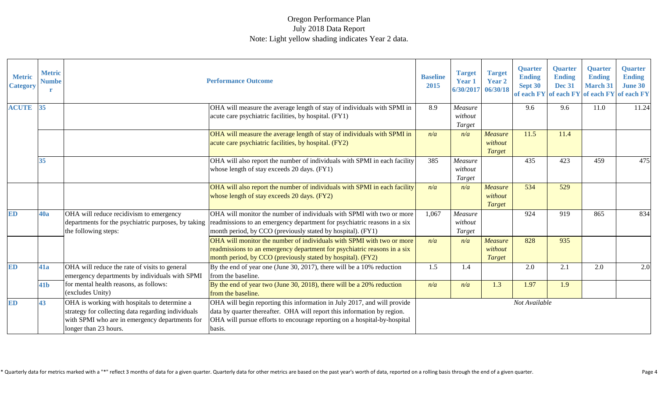| <b>Metric</b><br><b>Category</b> | <b>Metric</b><br><b>Numbe</b> |                                                                                                                                                                               | <b>Performance Outcome</b>                                                                                                                                                                                                                                           | <b>Baseline</b><br>2015 | <b>Target</b><br><b>Year 1</b><br>6/30/2017 06/30/18 | <b>Target</b><br><b>Year 2</b>             | <b>Quarter</b><br><b>Ending</b><br>Sept 30 | <b>Quarter</b><br><b>Ending</b><br><b>Dec 31</b> | <b>Quarter</b><br><b>Ending</b><br><b>March 31</b> | <b>Quarter</b><br><b>Ending</b><br><b>June 30</b><br>of each FY of each FY of each FY of each FY |
|----------------------------------|-------------------------------|-------------------------------------------------------------------------------------------------------------------------------------------------------------------------------|----------------------------------------------------------------------------------------------------------------------------------------------------------------------------------------------------------------------------------------------------------------------|-------------------------|------------------------------------------------------|--------------------------------------------|--------------------------------------------|--------------------------------------------------|----------------------------------------------------|--------------------------------------------------------------------------------------------------|
| <b>ACUTE</b>                     | 35                            |                                                                                                                                                                               | OHA will measure the average length of stay of individuals with SPMI in<br>acute care psychiatric facilities, by hospital. (FY1)                                                                                                                                     | 8.9                     | Measure<br>without<br>Target                         |                                            | 9.6                                        | 9.6                                              | 11.0                                               | 11.24                                                                                            |
|                                  |                               |                                                                                                                                                                               | OHA will measure the average length of stay of individuals with SPMI in<br>acute care psychiatric facilities, by hospital. (FY2)                                                                                                                                     | n/a                     | n/a                                                  | <b>Measure</b><br>without<br>Target        | 11.5                                       | 11.4                                             |                                                    |                                                                                                  |
|                                  | 35                            |                                                                                                                                                                               | OHA will also report the number of individuals with SPMI in each facility<br>whose length of stay exceeds 20 days. (FY1)                                                                                                                                             | 385                     | Measure<br>without<br>Target                         |                                            | 435                                        | 423                                              | 459                                                | 475                                                                                              |
|                                  |                               |                                                                                                                                                                               | OHA will also report the number of individuals with SPMI in each facility<br>whose length of stay exceeds 20 days. (FY2)                                                                                                                                             | n/a                     | n/a                                                  | <b>Measure</b><br>without<br>Target        | 534                                        | 529                                              |                                                    |                                                                                                  |
| <b>ED</b>                        | <b>40a</b>                    | OHA will reduce recidivism to emergency<br>the following steps:                                                                                                               | OHA will monitor the number of individuals with SPMI with two or more<br>departments for the psychiatric purposes, by taking readmissions to an emergency department for psychiatric reasons in a six<br>month period, by CCO (previously stated by hospital). (FY1) | 1,067                   | Measure<br>without<br>Target                         |                                            | 924                                        | 919                                              | 865                                                | 834                                                                                              |
|                                  |                               |                                                                                                                                                                               | OHA will monitor the number of individuals with SPMI with two or more<br>readmissions to an emergency department for psychiatric reasons in a six<br>month period, by CCO (previously stated by hospital). (FY2)                                                     | n/a                     | n/a                                                  | <b>Measure</b><br>without<br><b>Target</b> | 828                                        | 935                                              |                                                    |                                                                                                  |
| ED                               | 41a                           | OHA will reduce the rate of visits to general<br>emergency departments by individuals with SPMI                                                                               | By the end of year one (June 30, 2017), there will be a $10\%$ reduction<br>from the baseline.                                                                                                                                                                       | 1.5                     | 1.4                                                  |                                            | 2.0                                        | 2.1                                              | 2.0                                                | 2.0                                                                                              |
|                                  | 41 <sub>b</sub>               | for mental health reasons, as follows:<br>(excludes Unity)                                                                                                                    | By the end of year two (June 30, 2018), there will be a 20% reduction<br>from the baseline.                                                                                                                                                                          | n/a                     | n/a                                                  | 1.3                                        | 1.97                                       | 1.9                                              |                                                    |                                                                                                  |
| <b>ED</b>                        | 43                            | OHA is working with hospitals to determine a<br>strategy for collecting data regarding individuals<br>with SPMI who are in emergency departments for<br>longer than 23 hours. | OHA will begin reporting this information in July 2017, and will provide<br>data by quarter thereafter. OHA will report this information by region.<br>OHA will pursue efforts to encourage reporting on a hospital-by-hospital<br>basis.                            |                         |                                                      |                                            | Not Available                              |                                                  |                                                    |                                                                                                  |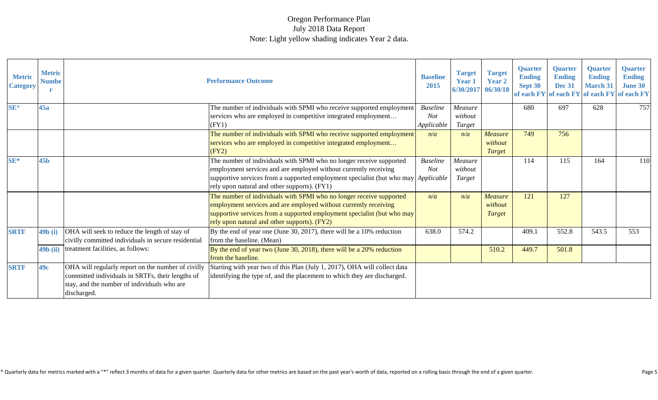| <b>Metric</b><br><b>Category</b> | <b>Metric</b><br><b>Numbe</b> |                                                                                                                                                                      | <b>Performance Outcome</b>                                                                                                                                                                                                                                                    | <b>Baseline</b><br>2015                     | <b>Target</b><br><b>Year 1</b><br>6/30/2017 | <b>Target</b><br><b>Year 2</b><br>06/30/18 | <b>Quarter</b><br><b>Ending</b><br>Sept 30<br>of each FY | <b>Quarter</b><br><b>Ending</b><br><b>Dec 31</b> | <b>Quarter</b><br><b>Ending</b><br><b>March 31</b><br>of each FY of each FY of each FY | <b>Quarter</b><br><b>Ending</b><br><b>June 30</b> |
|----------------------------------|-------------------------------|----------------------------------------------------------------------------------------------------------------------------------------------------------------------|-------------------------------------------------------------------------------------------------------------------------------------------------------------------------------------------------------------------------------------------------------------------------------|---------------------------------------------|---------------------------------------------|--------------------------------------------|----------------------------------------------------------|--------------------------------------------------|----------------------------------------------------------------------------------------|---------------------------------------------------|
| $SE*$                            | 45a                           |                                                                                                                                                                      | The number of individuals with SPMI who receive supported employment<br>services who are employed in competitive integrated employment<br>(FY1)                                                                                                                               | <b>Baseline</b><br><b>Not</b><br>Applicable | Measure<br>without<br>Target                |                                            | 680                                                      | 697                                              | 628                                                                                    | 757                                               |
|                                  |                               |                                                                                                                                                                      | The number of individuals with SPMI who receive supported employment<br>services who are employed in competitive integrated employment<br>(FY2)                                                                                                                               | n/a                                         | n/a                                         | <b>Measure</b><br>without<br><b>Target</b> | 749                                                      | 756                                              |                                                                                        |                                                   |
| SE*                              | <b>45b</b>                    |                                                                                                                                                                      | The number of individuals with SPMI who no longer receive supported<br>employment services and are employed without currently receiving<br>supportive services from a supported employment specialist (but who may Applicable<br>rely upon natural and other supports). (FY1) | <b>Baseline</b><br><b>Not</b>               | Measure<br>without<br>Target                |                                            | 114                                                      | 115                                              | 164                                                                                    | 110                                               |
|                                  |                               |                                                                                                                                                                      | The number of individuals with SPMI who no longer receive supported<br>employment services and are employed without currently receiving<br>supportive services from a supported employment specialist (but who may<br>rely upon natural and other supports). (FY2)            | n/a                                         | n/a                                         | <b>Measure</b><br>without<br>Target        | 121                                                      | 127                                              |                                                                                        |                                                   |
| <b>SRTF</b>                      | 49b (i)                       | OHA will seek to reduce the length of stay of<br>civilly committed individuals in secure residential                                                                 | By the end of year one (June 30, 2017), there will be a $10\%$ reduction<br>from the baseline. (Mean)                                                                                                                                                                         | 638.0                                       | 574.2                                       |                                            | 409.1                                                    | 552.8                                            | 543.5                                                                                  | 553                                               |
|                                  | <b>49b</b> (ii)               | treatment facilities, as follows:                                                                                                                                    | By the end of year two (June 30, 2018), there will be a $20\%$ reduction<br>from the baseline.                                                                                                                                                                                |                                             |                                             | 510.2                                      | 449.7                                                    | 501.8                                            |                                                                                        |                                                   |
| <b>SRTF</b>                      | 49c                           | OHA will regularly report on the number of civilly<br>committed individuals in SRTFs, their lengths of<br>stay, and the number of individuals who are<br>discharged. | Starting with year two of this Plan (July 1, 2017), OHA will collect data<br>identifying the type of, and the placement to which they are discharged.                                                                                                                         |                                             |                                             |                                            |                                                          |                                                  |                                                                                        |                                                   |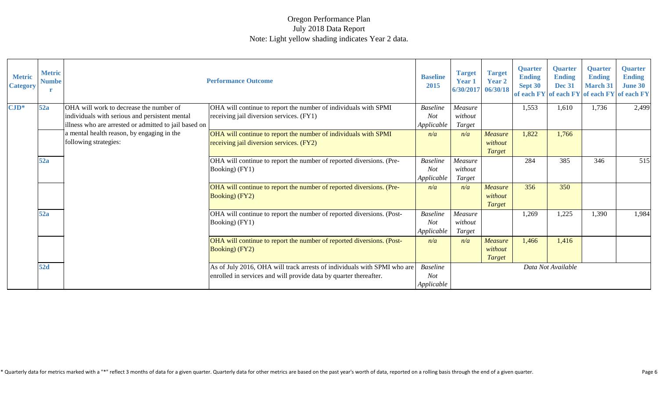| <b>Metric</b><br><b>Category</b> | <b>Metric</b><br><b>Numbe</b> |                                                                                                                                                    | <b>Performance Outcome</b>                                                                                                                    | <b>Baseline</b><br>2015                     | <b>Target</b><br><b>Year 1</b><br>6/30/2017 | <b>Target</b><br><b>Year 2</b><br>06/30/18 | <b>Quarter</b><br><b>Ending</b><br>Sept 30 | <b>Quarter</b><br><b>Ending</b><br><b>Dec 31</b> | <b>Quarter</b><br><b>Ending</b><br><b>March 31</b><br>of each FY of each FY of each FY of each FY | <b>Quarter</b><br><b>Ending</b><br><b>June 30</b> |
|----------------------------------|-------------------------------|----------------------------------------------------------------------------------------------------------------------------------------------------|-----------------------------------------------------------------------------------------------------------------------------------------------|---------------------------------------------|---------------------------------------------|--------------------------------------------|--------------------------------------------|--------------------------------------------------|---------------------------------------------------------------------------------------------------|---------------------------------------------------|
| $\mathbf{CJD}^*$                 | 52a                           | OHA will work to decrease the number of<br>individuals with serious and persistent mental<br>illness who are arrested or admitted to jail based on | OHA will continue to report the number of individuals with SPMI<br>receiving jail diversion services. (FY1)                                   | <b>Baseline</b><br><b>Not</b><br>Applicable | Measure<br>without<br>Target                |                                            | 1,553                                      | 1,610                                            | 1,736                                                                                             | 2,499                                             |
|                                  |                               | a mental health reason, by engaging in the<br>following strategies:                                                                                | OHA will continue to report the number of individuals with SPMI<br>receiving jail diversion services. (FY2)                                   | n/a                                         | n/a                                         | <b>Measure</b><br>without<br><b>Target</b> | 1,822                                      | 1,766                                            |                                                                                                   |                                                   |
|                                  | 52a                           |                                                                                                                                                    | OHA will continue to report the number of reported diversions. (Pre-<br>Booking) (FY1)                                                        | <b>Baseline</b><br><b>Not</b><br>Applicable | Measure<br>without<br>Target                |                                            | 284                                        | 385                                              | 346                                                                                               | 515                                               |
|                                  |                               |                                                                                                                                                    | OHA will continue to report the number of reported diversions. (Pre-<br><b>Booking</b> ) (FY2)                                                | n/a                                         | n/a                                         | <b>Measure</b><br>without<br>Target        | 356                                        | 350                                              |                                                                                                   |                                                   |
|                                  | 52a                           |                                                                                                                                                    | OHA will continue to report the number of reported diversions. (Post-<br>Booking) (FY1)                                                       | <b>Baseline</b><br><b>Not</b><br>Applicable | Measure<br>without<br>Target                |                                            | 1,269                                      | 1,225                                            | 1,390                                                                                             | 1,984                                             |
|                                  |                               |                                                                                                                                                    | OHA will continue to report the number of reported diversions. (Post-<br><b>Booking</b> ) (FY2)                                               | n/a                                         | n/a                                         | <b>Measure</b><br>without<br><b>Target</b> | 1,466                                      | 1,416                                            |                                                                                                   |                                                   |
|                                  | 52d                           |                                                                                                                                                    | As of July 2016, OHA will track arrests of individuals with SPMI who are<br>enrolled in services and will provide data by quarter thereafter. | <b>Baseline</b><br><b>Not</b><br>Applicable |                                             |                                            |                                            | Data Not Available                               |                                                                                                   |                                                   |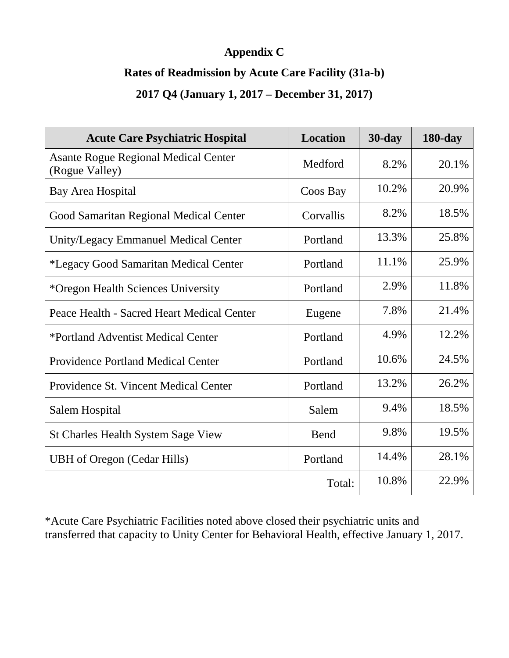# **Appendix C**

#### **Rates of Readmission by Acute Care Facility (31a-b)**

# **2017 Q4 (January 1, 2017 – December 31, 2017)**

| <b>Acute Care Psychiatric Hospital</b>                        | <b>Location</b> | $30$ -day | $180$ -day |
|---------------------------------------------------------------|-----------------|-----------|------------|
| <b>Asante Rogue Regional Medical Center</b><br>(Rogue Valley) | Medford         | 8.2%      | 20.1%      |
| Bay Area Hospital                                             | Coos Bay        | 10.2%     | 20.9%      |
| Good Samaritan Regional Medical Center                        | Corvallis       | 8.2%      | 18.5%      |
| Unity/Legacy Emmanuel Medical Center                          | Portland        | 13.3%     | 25.8%      |
| *Legacy Good Samaritan Medical Center                         | Portland        | 11.1%     | 25.9%      |
| *Oregon Health Sciences University                            | Portland        | 2.9%      | 11.8%      |
| Peace Health - Sacred Heart Medical Center                    | Eugene          | 7.8%      | 21.4%      |
| *Portland Adventist Medical Center                            | Portland        | 4.9%      | 12.2%      |
| <b>Providence Portland Medical Center</b>                     | Portland        | 10.6%     | 24.5%      |
| Providence St. Vincent Medical Center                         | Portland        | 13.2%     | 26.2%      |
| Salem Hospital                                                | Salem           | 9.4%      | 18.5%      |
| <b>St Charles Health System Sage View</b>                     | Bend            | 9.8%      | 19.5%      |
| <b>UBH</b> of Oregon (Cedar Hills)                            | Portland        | 14.4%     | 28.1%      |
|                                                               | Total:          | 10.8%     | 22.9%      |

\*Acute Care Psychiatric Facilities noted above closed their psychiatric units and transferred that capacity to Unity Center for Behavioral Health, effective January 1, 2017.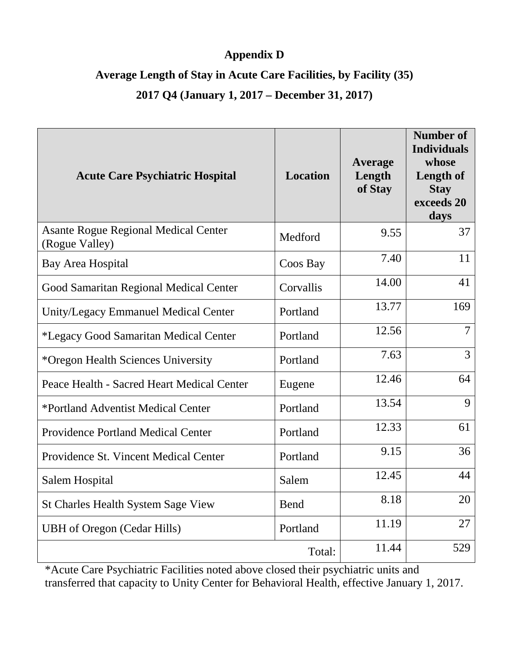# **Appendix D**

### **Average Length of Stay in Acute Care Facilities, by Facility (35)**

# **2017 Q4 (January 1, 2017 – December 31, 2017)**

| <b>Acute Care Psychiatric Hospital</b>                        | <b>Location</b> | Average<br>Length<br>of Stay | <b>Number of</b><br><b>Individuals</b><br>whose<br>Length of<br><b>Stay</b><br>exceeds 20<br>days |
|---------------------------------------------------------------|-----------------|------------------------------|---------------------------------------------------------------------------------------------------|
| <b>Asante Rogue Regional Medical Center</b><br>(Rogue Valley) | Medford         | 9.55                         | 37                                                                                                |
| Bay Area Hospital                                             | Coos Bay        | 7.40                         | 11                                                                                                |
| Good Samaritan Regional Medical Center                        | Corvallis       | 14.00                        | 41                                                                                                |
| Unity/Legacy Emmanuel Medical Center                          | Portland        | 13.77                        | 169                                                                                               |
| *Legacy Good Samaritan Medical Center                         | Portland        | 12.56                        | $\tau$                                                                                            |
| *Oregon Health Sciences University                            | Portland        | 7.63                         | 3                                                                                                 |
| Peace Health - Sacred Heart Medical Center                    | Eugene          | 12.46                        | 64                                                                                                |
| *Portland Adventist Medical Center                            | Portland        | 13.54                        | 9                                                                                                 |
| <b>Providence Portland Medical Center</b>                     | Portland        | 12.33                        | 61                                                                                                |
| Providence St. Vincent Medical Center                         | Portland        | 9.15                         | 36                                                                                                |
| Salem Hospital                                                | Salem           | 12.45                        | 44                                                                                                |
| St Charles Health System Sage View                            | <b>Bend</b>     | 8.18                         | 20                                                                                                |
| <b>UBH</b> of Oregon (Cedar Hills)                            | Portland        | 11.19                        | 27                                                                                                |
|                                                               | Total:          | 11.44                        | 529                                                                                               |

\*Acute Care Psychiatric Facilities noted above closed their psychiatric units and transferred that capacity to Unity Center for Behavioral Health, effective January 1, 2017.